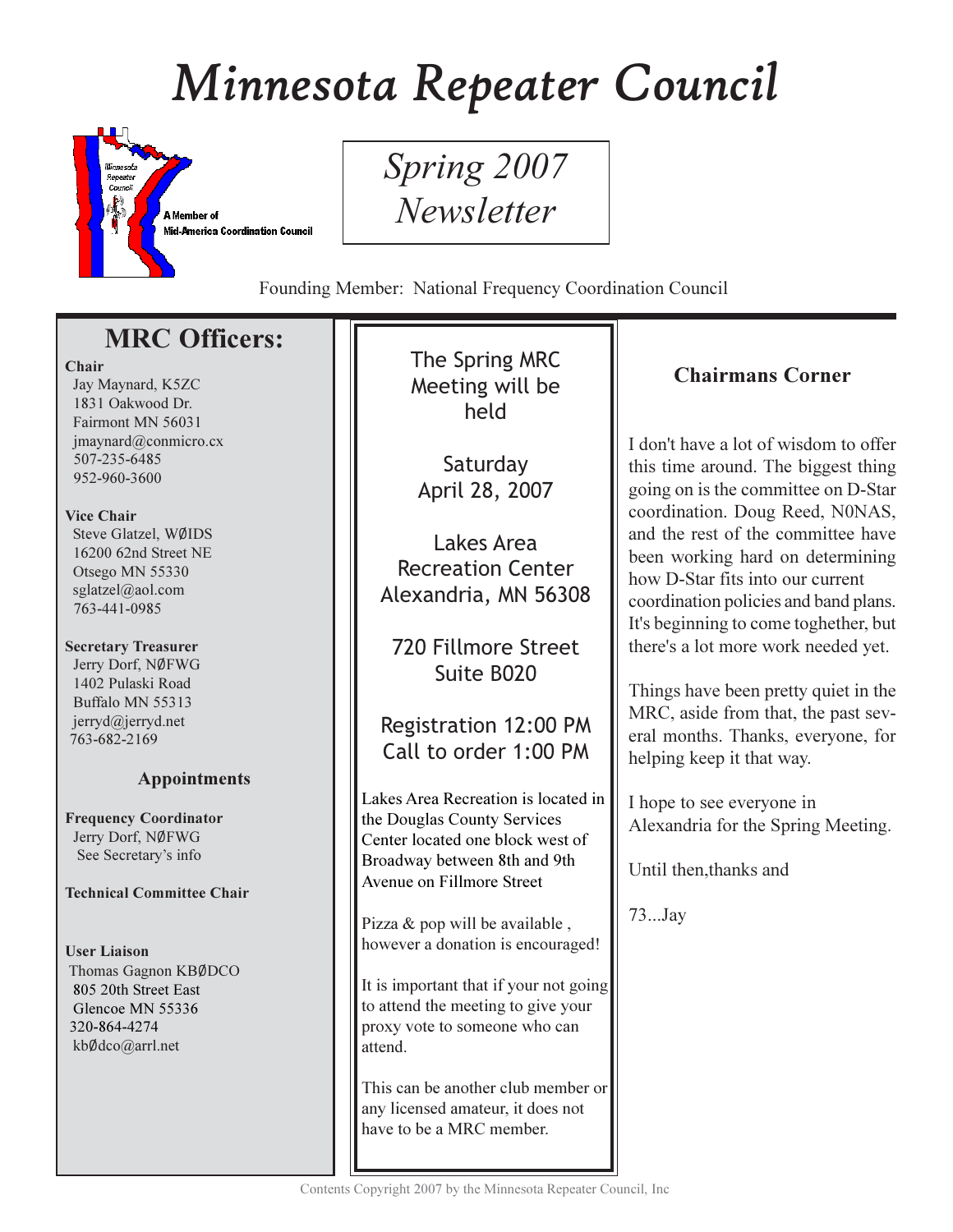# Minnesota Repeater Council



Spring 2007 **Newsletter** 

Founding Member: National Frequency Coordination Council

# **MRC Officers:**

## Chair

Jay Maynard, K5ZC 1831 Oakwood Dr. Fairmont MN 56031  $imavnard@comnicro.cx$ 507-235-6485 952-960-3600

## Vice Chair

Steve Glatzel, WØIDS 16200 62nd Street NE Otsego MN 55330 sglatzel@aol.com 763-441-0985

# **Secretary Treasurer**

Jerry Dorf, NØFWG 1402 Pulaski Road Buffalo MN 55313 jerryd@jerryd.net 763-682-2169

# **Appointments**

**Frequency Coordinator** Jerry Dorf, NØFWG See Secretary's info

## **Technical Committee Chair**

**User Liaison** Thomas Gagnon KBØDCO 805 20th Street East Glencoe MN 55336 320-864-4274 kbØdco@arrl.net

The Spring MRC Meeting will be held

Saturdav April 28, 2007

Lakes Area **Recreation Center** Alexandria, MN 56308

720 Fillmore Street Suite B020

Registration 12:00 PM Call to order 1:00 PM

Lakes Area Recreation is located in the Douglas County Services Center located one block west of Broadway between 8th and 9th Avenue on Fillmore Street

Pizza & pop will be available, however a donation is encouraged!

It is important that if your not going to attend the meeting to give your proxy vote to someone who can attend.

This can be another club member or any licensed amateur, it does not have to be a MRC member.

# **Chairmans Corner**

I don't have a lot of wisdom to offer this time around. The biggest thing going on is the committee on D-Star coordination. Doug Reed, N0NAS, and the rest of the committee have been working hard on determining how D-Star fits into our current coordination policies and band plans. It's beginning to come toghether, but there's a lot more work needed yet.

Things have been pretty quiet in the MRC, aside from that, the past several months. Thanks, everyone, for helping keep it that way.

I hope to see everyone in Alexandria for the Spring Meeting.

Until then, thanks and

73...Jay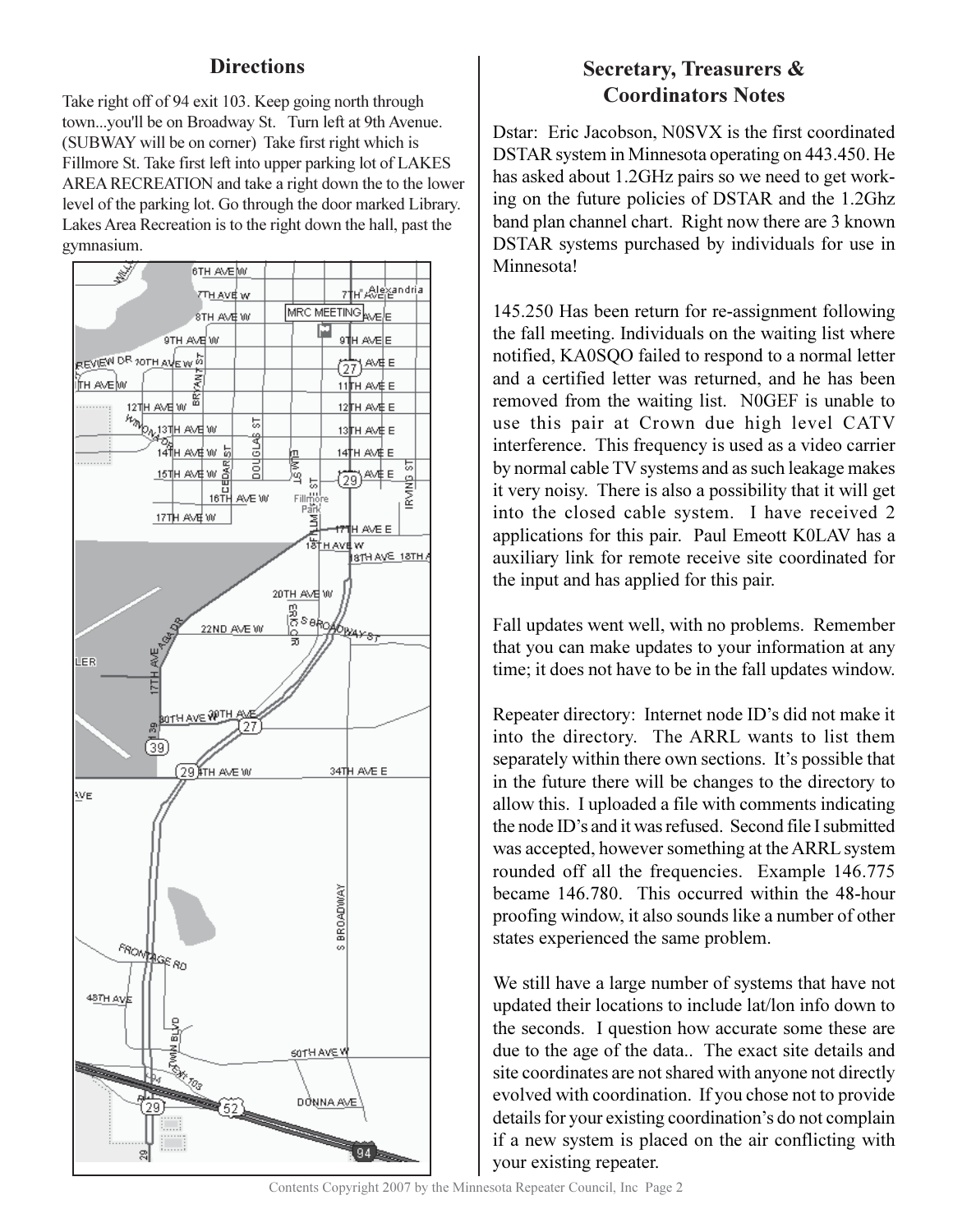# **Directions**

Take right off of 94 exit 103. Keep going north through town...you'll be on Broadway St. Turn left at 9th Avenue. (SUBWAY will be on corner) Take first right which is Fillmore St. Take first left into upper parking lot of LAKES AREA RECREATION and take a right down the to the lower level of the parking lot. Go through the door marked Library. Lakes Area Recreation is to the right down the hall, past the gymnasium.



# **Secretary, Treasurers & Coordinators Notes**

Dstar: Eric Jacobson, N0SVX is the first coordinated DSTAR system in Minnesota operating on 443.450. He has asked about 1.2GHz pairs so we need to get working on the future policies of DSTAR and the 1.2Ghz band plan channel chart. Right now there are 3 known DSTAR systems purchased by individuals for use in Minnesota!

145.250 Has been return for re-assignment following the fall meeting. Individuals on the waiting list where notified, KA0SOO failed to respond to a normal letter and a certified letter was returned, and he has been removed from the waiting list. NOGEF is unable to use this pair at Crown due high level CATV interference. This frequency is used as a video carrier by normal cable TV systems and as such leakage makes it very noisy. There is also a possibility that it will get into the closed cable system. I have received 2 applications for this pair. Paul Emeott KOLAV has a auxiliary link for remote receive site coordinated for the input and has applied for this pair.

Fall updates went well, with no problems. Remember that you can make updates to your information at any time; it does not have to be in the fall updates window.

Repeater directory: Internet node ID's did not make it into the directory. The ARRL wants to list them separately within there own sections. It's possible that in the future there will be changes to the directory to allow this. I uploaded a file with comments indicating the node ID's and it was refused. Second file I submitted was accepted, however something at the ARRL system rounded off all the frequencies. Example 146.775 became 146.780. This occurred within the 48-hour proofing window, it also sounds like a number of other states experienced the same problem.

We still have a large number of systems that have not updated their locations to include lat/lon info down to the seconds. I question how accurate some these are due to the age of the data.. The exact site details and site coordinates are not shared with anyone not directly evolved with coordination. If you chose not to provide details for your existing coordination's do not complain if a new system is placed on the air conflicting with your existing repeater.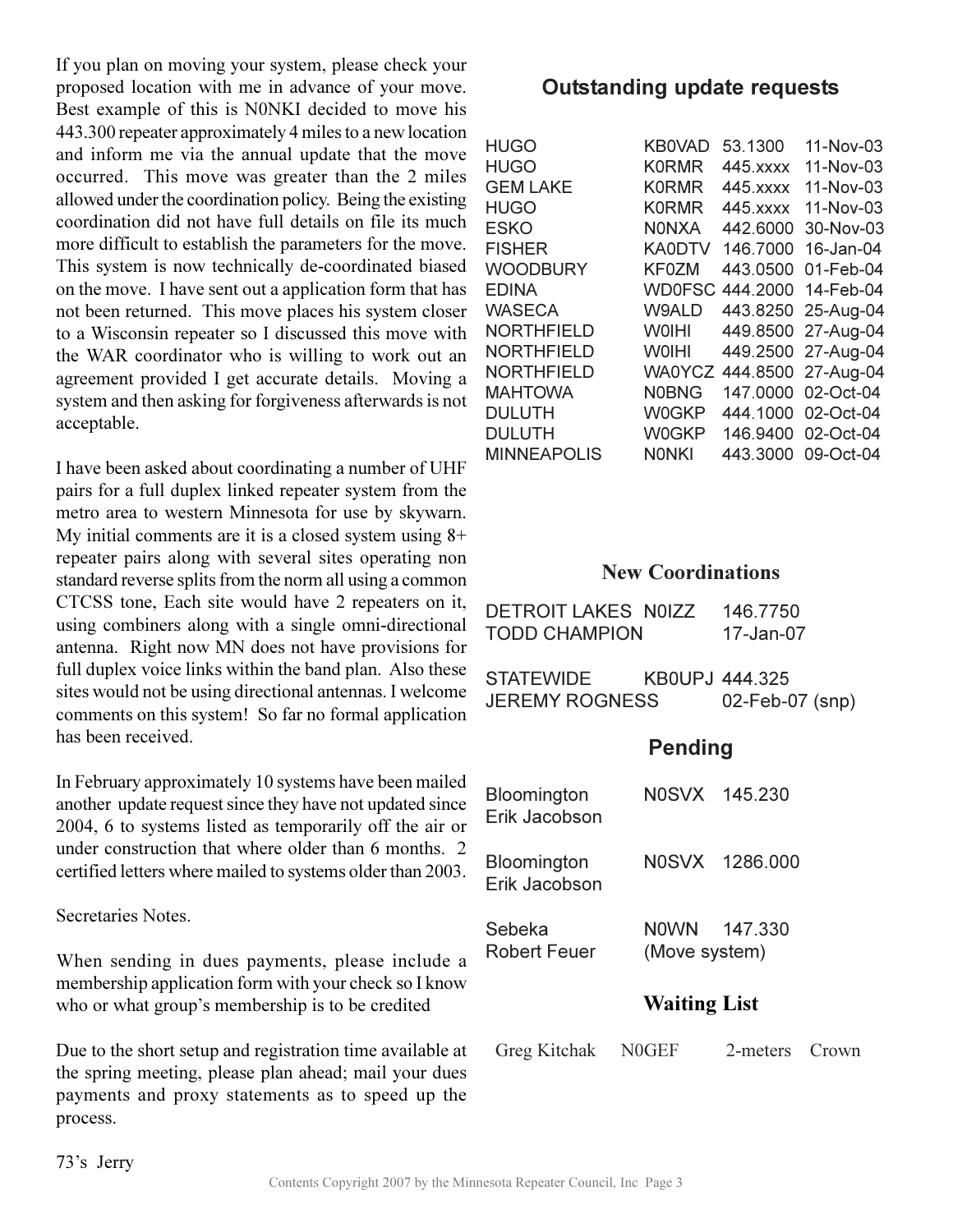If you plan on moving your system, please check your proposed location with me in advance of your move. Best example of this is N0NKI decided to move his 443.300 repeater approximately 4 miles to a new location and inform me via the annual update that the move occurred. This move was greater than the 2 miles allowed under the coordination policy. Being the existing coordination did not have full details on file its much more difficult to establish the parameters for the move This system is now technically de-coordinated biased on the move. I have sent out a application form that has not been returned. This move places his system closer to a Wisconsin repeater so I discussed this move with the WAR coordinator who is willing to work out an agreement provided I get accurate details. Moving a system and then asking for forgiveness afterwards is not acceptable.

I have been asked about coordinating a number of UHF pairs for a full duplex linked repeater system from the metro area to western Minnesota for use by skywarn. My initial comments are it is a closed system using  $8+$ repeater pairs along with several sites operating non standard reverse splits from the norm all using a common CTCSS tone, Each site would have 2 repeaters on it, using combiners along with a single omni-directional antenna. Right now MN does not have provisions for full duplex voice links within the band plan. Also these sites would not be using directional antennas. I welcome comments on this system! So far no formal application has been received.

In February approximately 10 systems have been mailed another update request since they have not updated since 2004, 6 to systems listed as temporarily off the air or under construction that where older than 6 months. 2 certified letters where mailed to systems older than 2003.

Secretaries Notes

When sending in dues payments, please include a membership application form with your check so I know who or what group's membership is to be credited

Due to the short setup and registration time available at the spring meeting, please plan ahead; mail your dues payments and proxy statements as to speed up the process.

# **Outstanding update requests**

| HUGO               | <b>KB0VAD</b> | 53.1300   | 11-Nov-03                 |
|--------------------|---------------|-----------|---------------------------|
| HUGO               | <b>K0RMR</b>  | 445. XXXX | 11-Nov-03                 |
| <b>GEM LAKE</b>    | <b>K0RMR</b>  | 445. xxxx | 11-Nov-03                 |
| HUGO               | <b>K0RMR</b>  | 445. xxxx | 11-Nov-03                 |
| ESKO               | <b>NONXA</b>  | 442,6000  | 30-Nov-03                 |
| <b>FISHER</b>      | <b>KA0DTV</b> | 146,7000  | 16-Jan-04                 |
| <b>WOODBURY</b>    | <b>KF0ZM</b>  | 443.0500  | 01-Feb-04                 |
| EDINA              |               |           | WD0FSC 444.2000 14-Feb-04 |
| WASECA             | <b>W9ALD</b>  |           | 443.8250 25-Aug-04        |
| NORTHFIELD         | <b>WOIHI</b>  |           | 449.8500 27-Aug-04        |
| NORTHFIELD         | <b>WOIHI</b>  |           | 449.2500 27-Aug-04        |
| NORTHFIELD         |               |           | WA0YCZ 444.8500 27-Aug-04 |
| <b>MAHTOWA</b>     | <b>N0BNG</b>  |           | 147.0000 02-Oct-04        |
| DULUTH             | <b>W0GKP</b>  |           | 444.1000 02-Oct-04        |
| DULUTH             | <b>W0GKP</b>  |           | 146.9400 02-Oct-04        |
| <b>MINNEAPOLIS</b> | <b>NONKI</b>  |           | 443.3000 09-Oct-04        |
|                    |               |           |                           |

# **New Coordinations**

| DETROIT LAKES N0IZZ<br>TODD CHAMPION |                | 146.7750<br>17-Jan-07 |  |
|--------------------------------------|----------------|-----------------------|--|
| STATEWIDE<br>JEREMY ROGNESS          | KB0UPJ 444.325 | 02-Feb-07 (snp)       |  |

# **Pending**

|                                     | <b>Waiting List</b>           |                |
|-------------------------------------|-------------------------------|----------------|
| Sebeka<br><b>Robert Feuer</b>       | NOWN 147.330<br>(Move system) |                |
| <b>Bloomington</b><br>Erik Jacobson |                               | N0SVX 1286.000 |
| Bloomington<br>Erik Jacobson        | N0SVX 145.230                 |                |

| Greg Kitchak | <b>N0GEF</b> | 2-meters Crown |  |
|--------------|--------------|----------------|--|
|              |              |                |  |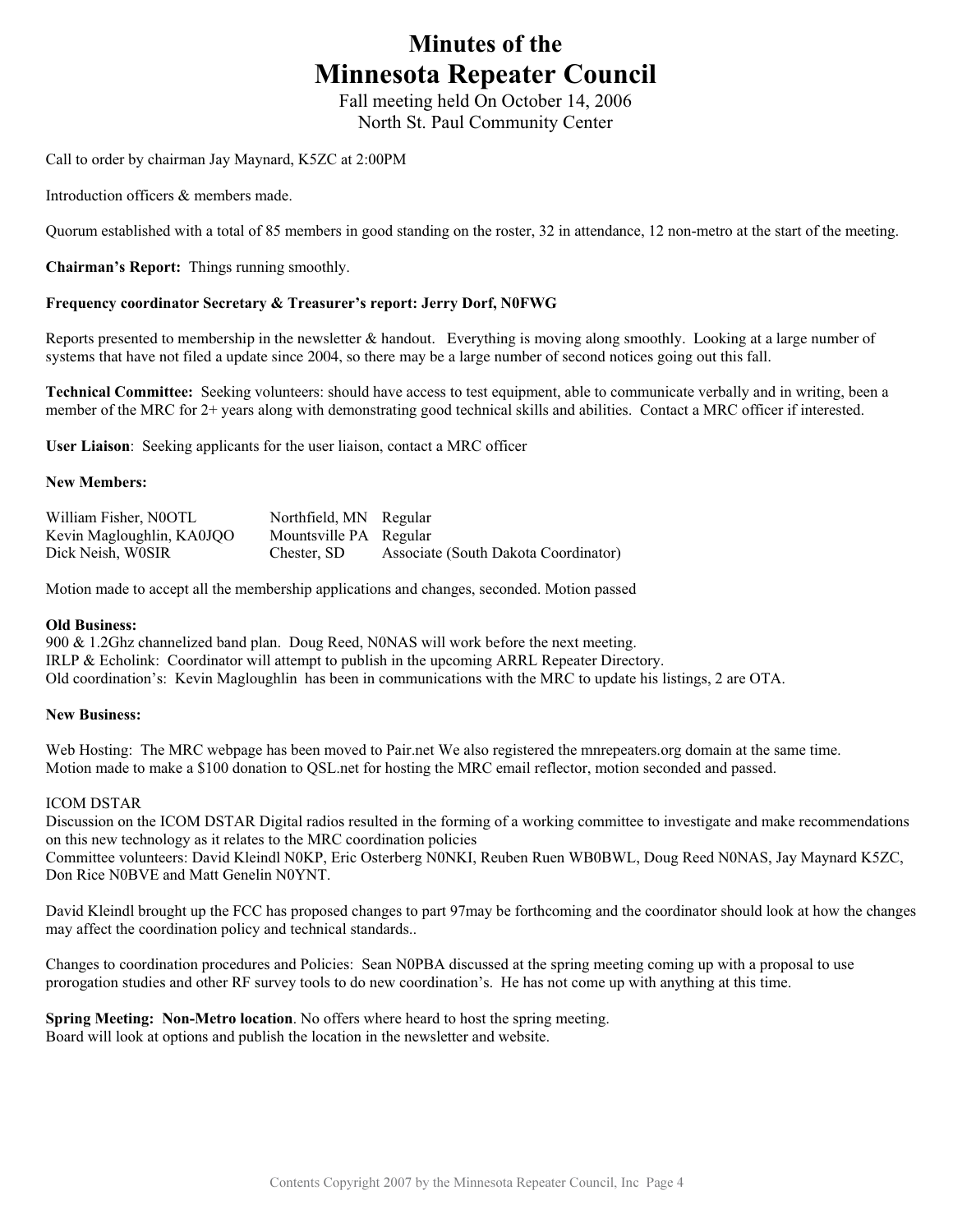# **Minutes of the Minnesota Repeater Council**

Fall meeting held On October 14, 2006 North St. Paul Community Center

Call to order by chairman Jay Maynard, K5ZC at 2:00PM

Introduction officers & members made.

Quorum established with a total of 85 members in good standing on the roster, 32 in attendance, 12 non-metro at the start of the meeting.

**Chairman's Report:** Things running smoothly.

#### **Frequency coordinator Secretary & Treasurer's report: Jerry Dorf, N0FWG**

Reports presented to membership in the newsletter & handout. Everything is moving along smoothly. Looking at a large number of systems that have not filed a update since 2004, so there may be a large number of second notices going out this fall.

**Technical Committee:** Seeking volunteers: should have access to test equipment, able to communicate verbally and in writing, been a member of the MRC for 2+ years along with demonstrating good technical skills and abilities. Contact a MRC officer if interested.

**User Liaison**: Seeking applicants for the user liaison, contact a MRC officer

#### **New Members:**

| William Fisher, N0OTL     | Northfield, MN Regular |                                      |
|---------------------------|------------------------|--------------------------------------|
| Kevin Magloughlin, KA0JQO | Mountsville PA Regular |                                      |
| Dick Neish, W0SIR         | Chester, SD            | Associate (South Dakota Coordinator) |

Motion made to accept all the membership applications and changes, seconded. Motion passed

#### **Old Business:**

900 & 1.2Ghz channelized band plan. Doug Reed, N0NAS will work before the next meeting. IRLP & Echolink: Coordinator will attempt to publish in the upcoming ARRL Repeater Directory. Old coordination's: Kevin Magloughlin has been in communications with the MRC to update his listings, 2 are OTA.

#### **New Business:**

Web Hosting: The MRC webpage has been moved to Pair.net We also registered the mnrepeaters.org domain at the same time. Motion made to make a \$100 donation to QSL.net for hosting the MRC email reflector, motion seconded and passed.

#### ICOM DSTAR

Discussion on the ICOM DSTAR Digital radios resulted in the forming of a working committee to investigate and make recommendations on this new technology as it relates to the MRC coordination policies Committee volunteers: David Kleindl N0KP, Eric Osterberg N0NKI, Reuben Ruen WB0BWL, Doug Reed N0NAS, Jay Maynard K5ZC, Don Rice N0BVE and Matt Genelin N0YNT.

David Kleindl brought up the FCC has proposed changes to part 97may be forthcoming and the coordinator should look at how the changes may affect the coordination policy and technical standards..

Changes to coordination procedures and Policies: Sean N0PBA discussed at the spring meeting coming up with a proposal to use prorogation studies and other RF survey tools to do new coordination's. He has not come up with anything at this time.

**Spring Meeting: Non-Metro location**. No offers where heard to host the spring meeting. Board will look at options and publish the location in the newsletter and website.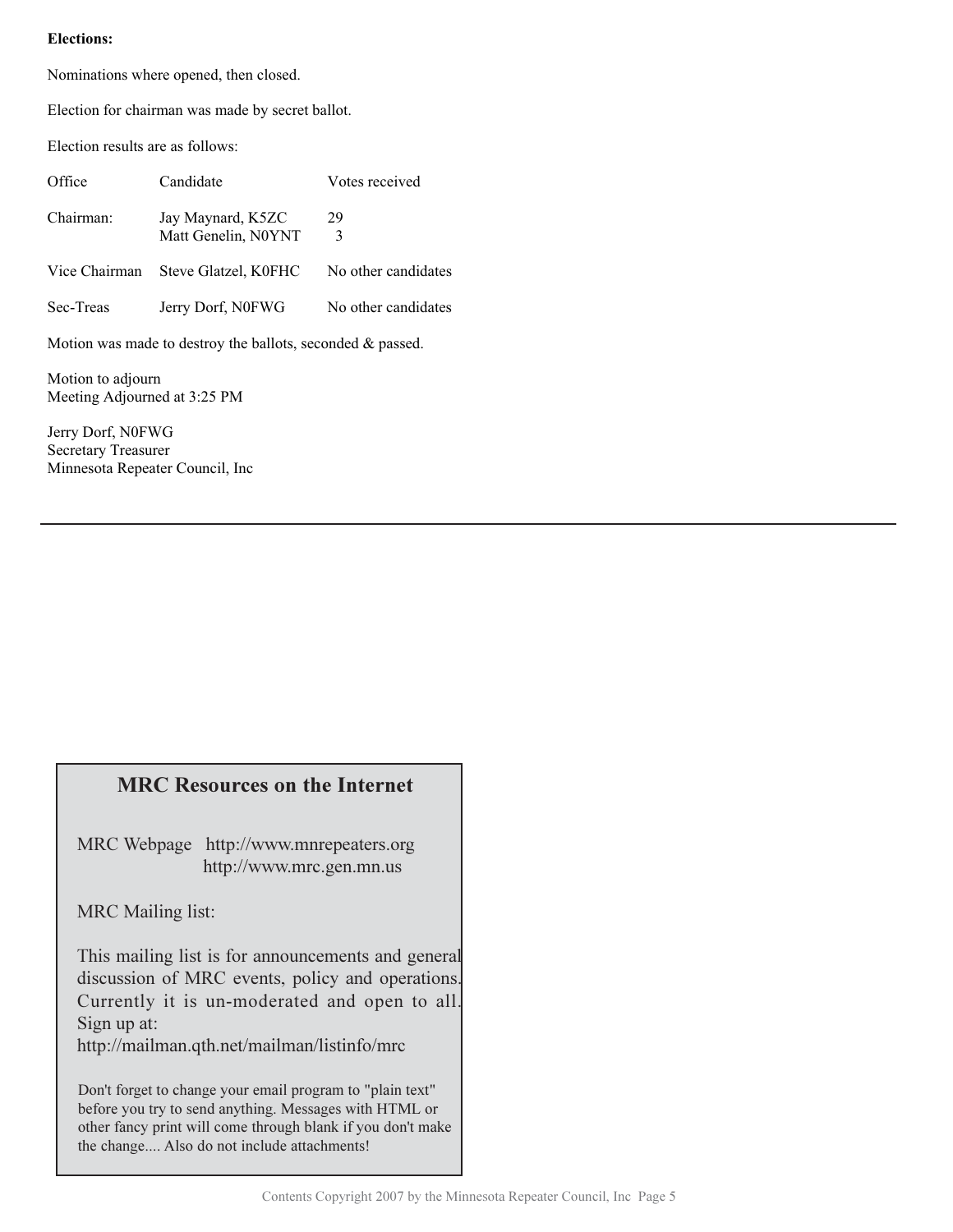#### **Elections:**

Nominations where opened, then closed.

Election for chairman was made by secret ballot.

Election results are as follows:

| Office                                                        | Candidate                                | Votes received      |  |
|---------------------------------------------------------------|------------------------------------------|---------------------|--|
| Chairman:                                                     | Jay Maynard, K5ZC<br>Matt Genelin, N0YNT | 29<br>3             |  |
| Vice Chairman                                                 | Steve Glatzel, K0FHC                     | No other candidates |  |
| Sec-Treas                                                     | Jerry Dorf, N0FWG                        | No other candidates |  |
| Motion was made to destroy the ballots, seconded $\&$ passed. |                                          |                     |  |

Motion to adjourn Meeting Adjourned at 3:25 PM

Jerry Dorf, N0FWG Secretary Treasurer Minnesota Repeater Council, Inc

# **MRC Resources on the Internet**

MRC Webpage http://www.mnrepeaters.org http://www.mrc.gen.mn.us

MRC Mailing list:

This mailing list is for announcements and general discussion of MRC events, policy and operations. Currently it is un-moderated and open to all. Sign up at:

http://mailman.qth.net/mailman/listinfo/mrc

Don't forget to change your email program to "plain text" before you try to send anything. Messages with HTML or other fancy print will come through blank if you don't make the change.... Also do not include attachments!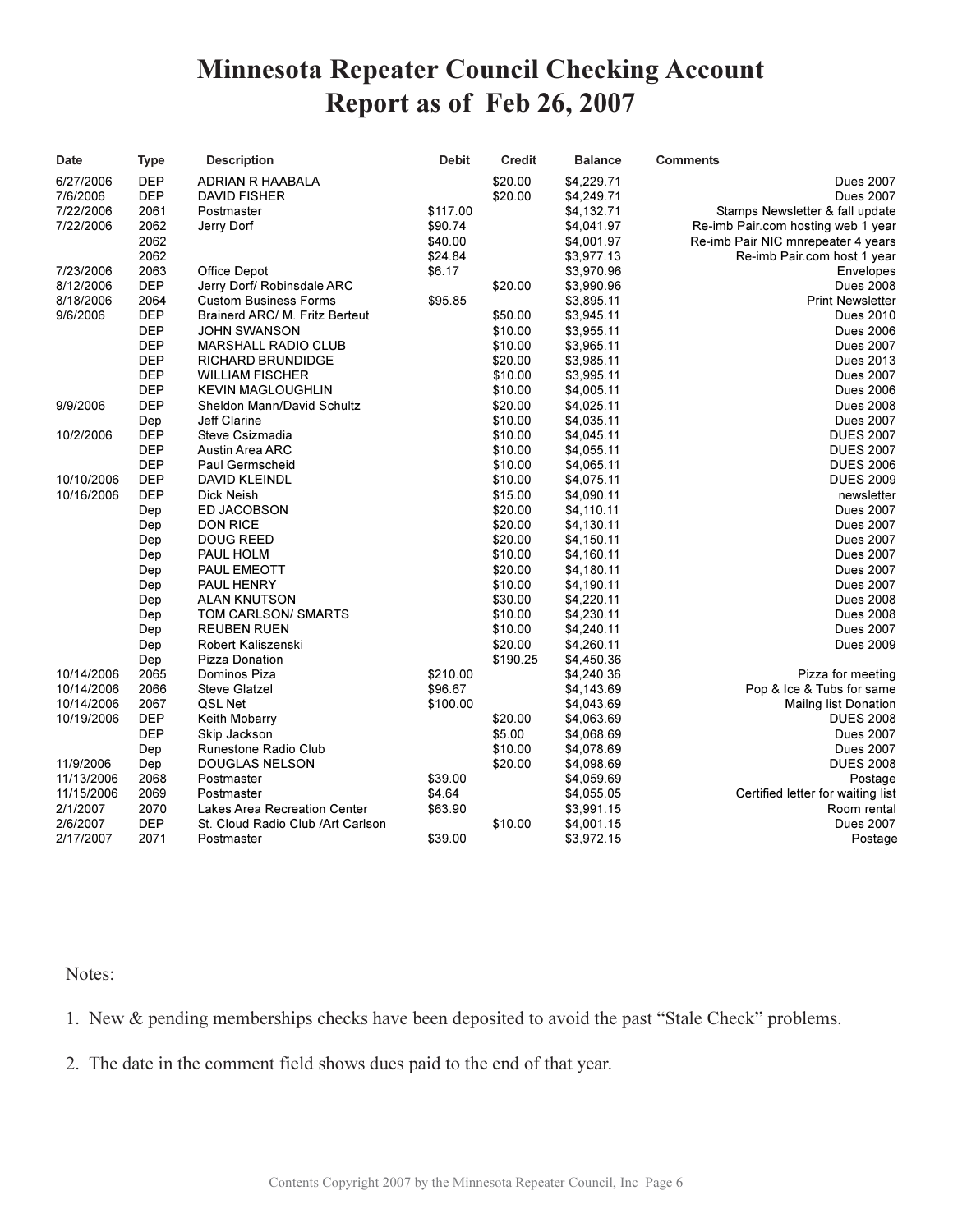# **Minnesota Repeater Council Checking Account** Report as of Feb 26, 2007

| Date       | Type       | <b>Description</b>                 | <b>Debit</b> | <b>Credit</b> | <b>Balance</b> | <b>Comments</b>                    |
|------------|------------|------------------------------------|--------------|---------------|----------------|------------------------------------|
| 6/27/2006  | <b>DEP</b> | ADRIAN R HAABALA                   |              | \$20.00       | \$4,229.71     | <b>Dues 2007</b>                   |
| 7/6/2006   | <b>DEP</b> | DAVID FISHER                       |              | \$20.00       | \$4,249.71     | <b>Dues 2007</b>                   |
| 7/22/2006  | 2061       | Postmaster                         | \$117.00     |               | \$4,132.71     | Stamps Newsletter & fall update    |
| 7/22/2006  | 2062       | Jerry Dorf                         | \$90.74      |               | \$4,041.97     | Re-imb Pair.com hosting web 1 year |
|            | 2062       |                                    | \$40.00      |               | \$4,001.97     | Re-imb Pair NIC mnrepeater 4 years |
|            | 2062       |                                    | \$24.84      |               | \$3,977.13     | Re-imb Pair.com host 1 year        |
| 7/23/2006  | 2063       | Office Depot                       | \$6.17       |               | \$3,970.96     | Envelopes                          |
| 8/12/2006  | <b>DEP</b> | Jerry Dorf/ Robinsdale ARC         |              | \$20.00       | \$3,990.96     | <b>Dues 2008</b>                   |
| 8/18/2006  | 2064       | <b>Custom Business Forms</b>       | \$95.85      |               | \$3,895.11     | <b>Print Newsletter</b>            |
| 9/6/2006   | <b>DEP</b> | Brainerd ARC/ M. Fritz Berteut     |              | \$50.00       | \$3,945.11     | Dues 2010                          |
|            | <b>DEP</b> | JOHN SWANSON                       |              | \$10.00       | \$3,955.11     | <b>Dues 2006</b>                   |
|            | <b>DEP</b> | <b>MARSHALL RADIO CLUB</b>         |              | \$10.00       | \$3,965.11     | <b>Dues 2007</b>                   |
|            | <b>DEP</b> | <b>RICHARD BRUNDIDGE</b>           |              | \$20.00       | \$3,985.11     | Dues 2013                          |
|            | <b>DEP</b> | <b>WILLIAM FISCHER</b>             |              | \$10.00       | \$3,995.11     | <b>Dues 2007</b>                   |
|            | <b>DEP</b> | <b>KEVIN MAGLOUGHLIN</b>           |              | \$10.00       | \$4,005.11     | <b>Dues 2006</b>                   |
| 9/9/2006   | <b>DEP</b> | Sheldon Mann/David Schultz         |              | \$20.00       | \$4,025.11     | <b>Dues 2008</b>                   |
|            | Dep        | Jeff Clarine                       |              | \$10.00       | \$4,035.11     | <b>Dues 2007</b>                   |
| 10/2/2006  | <b>DEP</b> | Steve Csizmadia                    |              | \$10.00       | \$4,045.11     | <b>DUES 2007</b>                   |
|            | <b>DEP</b> | <b>Austin Area ARC</b>             |              | \$10.00       | \$4,055.11     | <b>DUES 2007</b>                   |
|            | <b>DEP</b> | Paul Germscheid                    |              | \$10.00       | \$4,065.11     | <b>DUES 2006</b>                   |
| 10/10/2006 | <b>DEP</b> | <b>DAVID KLEINDL</b>               |              | \$10.00       | \$4,075.11     | <b>DUES 2009</b>                   |
| 10/16/2006 | <b>DEP</b> | Dick Neish                         |              | \$15.00       | \$4,090.11     | newsletter                         |
|            | Dep        | <b>ED JACOBSON</b>                 |              | \$20.00       | \$4,110.11     | <b>Dues 2007</b>                   |
|            | Dep        | <b>DON RICE</b>                    |              | \$20.00       | \$4,130.11     | <b>Dues 2007</b>                   |
|            | Dep        | DOUG REED                          |              | \$20.00       | \$4,150.11     | <b>Dues 2007</b>                   |
|            | Dep        | PAUL HOLM                          |              | \$10.00       | \$4,160.11     | <b>Dues 2007</b>                   |
|            | Dep        | PAUL EMEOTT                        |              | \$20.00       | \$4,180.11     | <b>Dues 2007</b>                   |
|            | Dep        | PAUL HENRY                         |              | \$10.00       | \$4,190.11     | <b>Dues 2007</b>                   |
|            | Dep        | <b>ALAN KNUTSON</b>                |              | \$30.00       | \$4,220.11     | <b>Dues 2008</b>                   |
|            | Dep        | TOM CARLSON/ SMARTS                |              | \$10.00       | \$4,230.11     | <b>Dues 2008</b>                   |
|            | Dep        | <b>REUBEN RUEN</b>                 |              | \$10.00       | \$4,240.11     | <b>Dues 2007</b>                   |
|            | Dep        | Robert Kaliszenski                 |              | \$20.00       | \$4,260.11     | <b>Dues 2009</b>                   |
|            | Dep        | Pizza Donation                     |              | \$190.25      | \$4,450.36     |                                    |
| 10/14/2006 | 2065       | Dominos Piza                       | \$210.00     |               | \$4,240.36     | Pizza for meeting                  |
| 10/14/2006 | 2066       | Steve Glatzel                      | \$96.67      |               | \$4,143.69     | Pop & Ice & Tubs for same          |
| 10/14/2006 | 2067       | QSL Net                            | \$100.00     |               | \$4,043.69     | Mailng list Donation               |
| 10/19/2006 | <b>DEP</b> | Keith Mobarry                      |              | \$20.00       | \$4,063.69     | <b>DUES 2008</b>                   |
|            | <b>DEP</b> | Skip Jackson                       |              | \$5.00        | \$4,068.69     | <b>Dues 2007</b>                   |
|            | Dep        | Runestone Radio Club               |              | \$10.00       | \$4,078.69     | <b>Dues 2007</b>                   |
| 11/9/2006  | Dep        | <b>DOUGLAS NELSON</b>              |              | \$20.00       | \$4,098.69     | <b>DUES 2008</b>                   |
| 11/13/2006 | 2068       | Postmaster                         | \$39.00      |               | \$4,059.69     | Postage                            |
| 11/15/2006 | 2069       | Postmaster                         | \$4.64       |               | \$4,055.05     | Certified letter for waiting list  |
| 2/1/2007   | 2070       | Lakes Area Recreation Center       | \$63.90      |               | \$3,991.15     | Room rental                        |
| 2/6/2007   | <b>DEP</b> | St. Cloud Radio Club / Art Carlson |              | \$10.00       | \$4,001.15     | <b>Dues 2007</b>                   |
| 2/17/2007  | 2071       | Postmaster                         | \$39.00      |               | \$3,972.15     | Postage                            |

## Notes:

1. New & pending memberships checks have been deposited to avoid the past "Stale Check" problems.

2. The date in the comment field shows dues paid to the end of that year.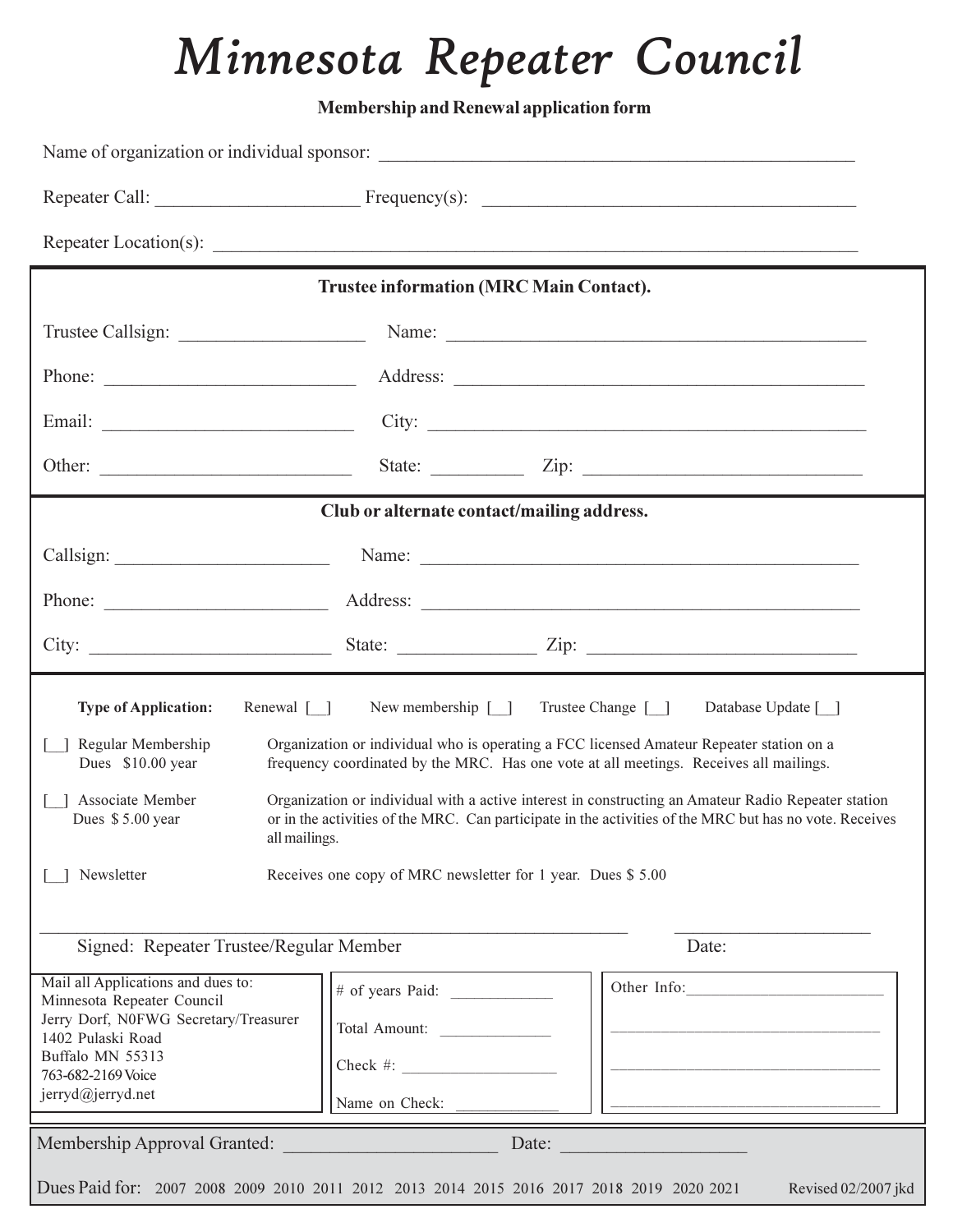# *Minnesota Rebeater Council*

**Membership and Renewal application form** 

|                                                                                                                                                                                               | <b>Trustee information (MRC Main Contact).</b>                                                       |                                                                                                                                                                                                                                                                                                                                                                                                                             |  |
|-----------------------------------------------------------------------------------------------------------------------------------------------------------------------------------------------|------------------------------------------------------------------------------------------------------|-----------------------------------------------------------------------------------------------------------------------------------------------------------------------------------------------------------------------------------------------------------------------------------------------------------------------------------------------------------------------------------------------------------------------------|--|
|                                                                                                                                                                                               |                                                                                                      | Name:                                                                                                                                                                                                                                                                                                                                                                                                                       |  |
| Phone:                                                                                                                                                                                        |                                                                                                      |                                                                                                                                                                                                                                                                                                                                                                                                                             |  |
|                                                                                                                                                                                               |                                                                                                      |                                                                                                                                                                                                                                                                                                                                                                                                                             |  |
|                                                                                                                                                                                               |                                                                                                      |                                                                                                                                                                                                                                                                                                                                                                                                                             |  |
|                                                                                                                                                                                               | Club or alternate contact/mailing address.                                                           |                                                                                                                                                                                                                                                                                                                                                                                                                             |  |
|                                                                                                                                                                                               |                                                                                                      |                                                                                                                                                                                                                                                                                                                                                                                                                             |  |
|                                                                                                                                                                                               |                                                                                                      |                                                                                                                                                                                                                                                                                                                                                                                                                             |  |
|                                                                                                                                                                                               |                                                                                                      |                                                                                                                                                                                                                                                                                                                                                                                                                             |  |
| Renewal $\lceil \cdot \rceil$<br><b>Type of Application:</b><br>Regular Membership<br>Dues \$10.00 year<br>Associate Member<br>Dues \$5.00 year<br>all mailings.<br>Newsletter                | New membership [ ] Trustee Change [ ]<br>Receives one copy of MRC newsletter for 1 year. Dues \$5.00 | Database Update [ ]<br>Organization or individual who is operating a FCC licensed Amateur Repeater station on a<br>frequency coordinated by the MRC. Has one vote at all meetings. Receives all mailings.<br>Organization or individual with a active interest in constructing an Amateur Radio Repeater station<br>or in the activities of the MRC. Can participate in the activities of the MRC but has no vote. Receives |  |
| Signed: Repeater Trustee/Regular Member                                                                                                                                                       |                                                                                                      | Date:                                                                                                                                                                                                                                                                                                                                                                                                                       |  |
| Mail all Applications and dues to:<br>Minnesota Repeater Council<br>Jerry Dorf, N0FWG Secretary/Treasurer<br>1402 Pulaski Road<br>Buffalo MN 55313<br>763-682-2169 Voice<br>jerryd@jerryd.net | # of years Paid:<br>Total Amount:<br>Check #: $\qquad \qquad$<br>Name on Check:                      | Other Info:                                                                                                                                                                                                                                                                                                                                                                                                                 |  |
|                                                                                                                                                                                               |                                                                                                      |                                                                                                                                                                                                                                                                                                                                                                                                                             |  |